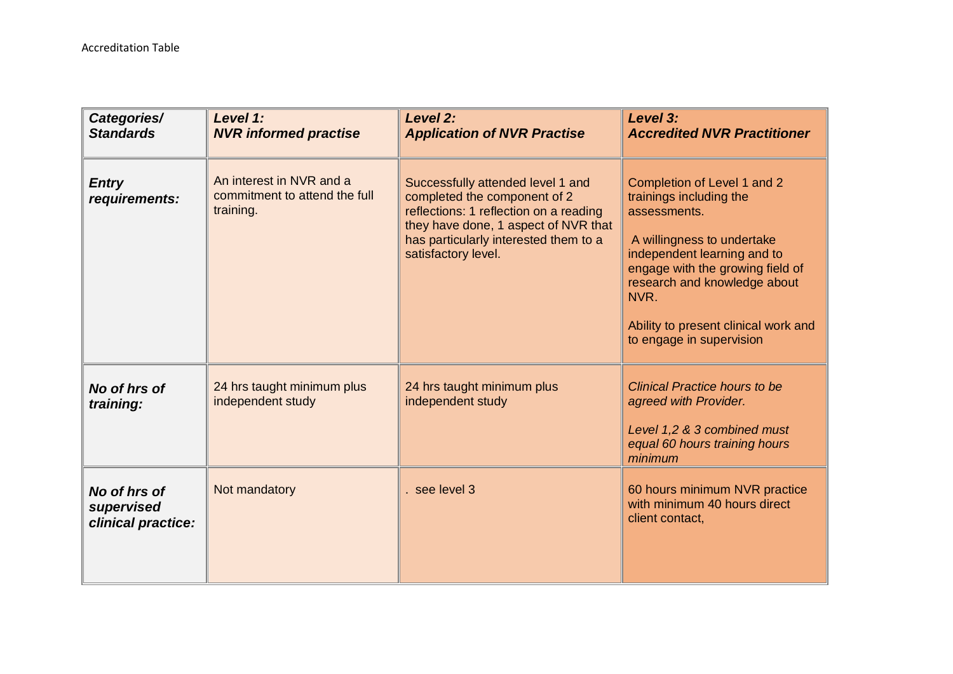| Categories/<br><b>Standards</b>                  | Level 1:<br><b>NVR informed practise</b>                               | Level 2:<br><b>Application of NVR Practise</b>                                                                                                                                                                      | Level 3:<br><b>Accredited NVR Practitioner</b>                                                                                                                                                                                                                                      |
|--------------------------------------------------|------------------------------------------------------------------------|---------------------------------------------------------------------------------------------------------------------------------------------------------------------------------------------------------------------|-------------------------------------------------------------------------------------------------------------------------------------------------------------------------------------------------------------------------------------------------------------------------------------|
| <b>Entry</b><br>requirements:                    | An interest in NVR and a<br>commitment to attend the full<br>training. | Successfully attended level 1 and<br>completed the component of 2<br>reflections: 1 reflection on a reading<br>they have done, 1 aspect of NVR that<br>has particularly interested them to a<br>satisfactory level. | Completion of Level 1 and 2<br>trainings including the<br>assessments.<br>A willingness to undertake<br>independent learning and to<br>engage with the growing field of<br>research and knowledge about<br>NVR.<br>Ability to present clinical work and<br>to engage in supervision |
| No of hrs of<br>training:                        | 24 hrs taught minimum plus<br>independent study                        | 24 hrs taught minimum plus<br>independent study                                                                                                                                                                     | <b>Clinical Practice hours to be</b><br>agreed with Provider.<br>Level 1,2 & 3 combined must<br>equal 60 hours training hours<br>minimum                                                                                                                                            |
| No of hrs of<br>supervised<br>clinical practice: | Not mandatory                                                          | see level 3                                                                                                                                                                                                         | 60 hours minimum NVR practice<br>with minimum 40 hours direct<br>client contact,                                                                                                                                                                                                    |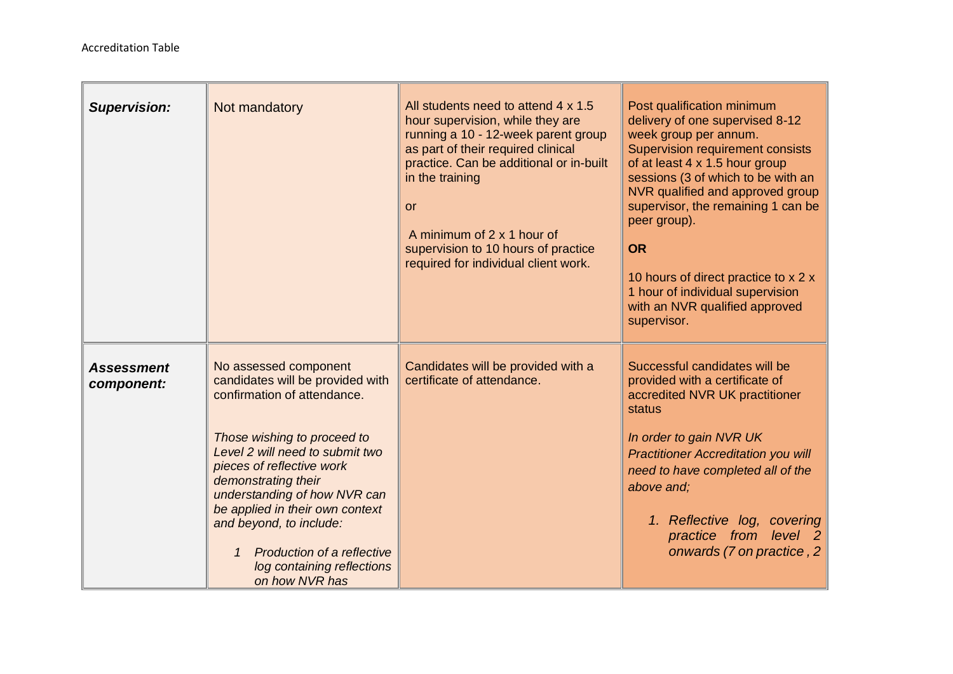m.

| <b>Supervision:</b>             | Not mandatory                                                                                                                                                                                                                                                                                                                                                                                          | All students need to attend 4 x 1.5<br>hour supervision, while they are<br>running a 10 - 12-week parent group<br>as part of their required clinical<br>practice. Can be additional or in-built<br>in the training<br><b>or</b><br>A minimum of 2 x 1 hour of<br>supervision to 10 hours of practice<br>required for individual client work. | Post qualification minimum<br>delivery of one supervised 8-12<br>week group per annum.<br><b>Supervision requirement consists</b><br>of at least 4 x 1.5 hour group<br>sessions (3 of which to be with an<br>NVR qualified and approved group<br>supervisor, the remaining 1 can be<br>peer group).<br><b>OR</b><br>10 hours of direct practice to x 2 x<br>1 hour of individual supervision<br>with an NVR qualified approved<br>supervisor. |
|---------------------------------|--------------------------------------------------------------------------------------------------------------------------------------------------------------------------------------------------------------------------------------------------------------------------------------------------------------------------------------------------------------------------------------------------------|----------------------------------------------------------------------------------------------------------------------------------------------------------------------------------------------------------------------------------------------------------------------------------------------------------------------------------------------|-----------------------------------------------------------------------------------------------------------------------------------------------------------------------------------------------------------------------------------------------------------------------------------------------------------------------------------------------------------------------------------------------------------------------------------------------|
| <b>Assessment</b><br>component: | No assessed component<br>candidates will be provided with<br>confirmation of attendance.<br>Those wishing to proceed to<br>Level 2 will need to submit two<br>pieces of reflective work<br>demonstrating their<br>understanding of how NVR can<br>be applied in their own context<br>and beyond, to include:<br><b>Production of a reflective</b><br>1<br>log containing reflections<br>on how NVR has | Candidates will be provided with a<br>certificate of attendance.                                                                                                                                                                                                                                                                             | Successful candidates will be<br>provided with a certificate of<br>accredited NVR UK practitioner<br>status<br>In order to gain NVR UK<br><b>Practitioner Accreditation you will</b><br>need to have completed all of the<br>above and;<br>1. Reflective log, covering<br>practice from level 2<br>onwards (7 on practice, 2                                                                                                                  |

<u> 1989 - Johann Barn, mars et al. 1989 - Anna ann an t-Anna ann an t-Anna ann an t-Anna ann an t-Anna ann an t-A</u>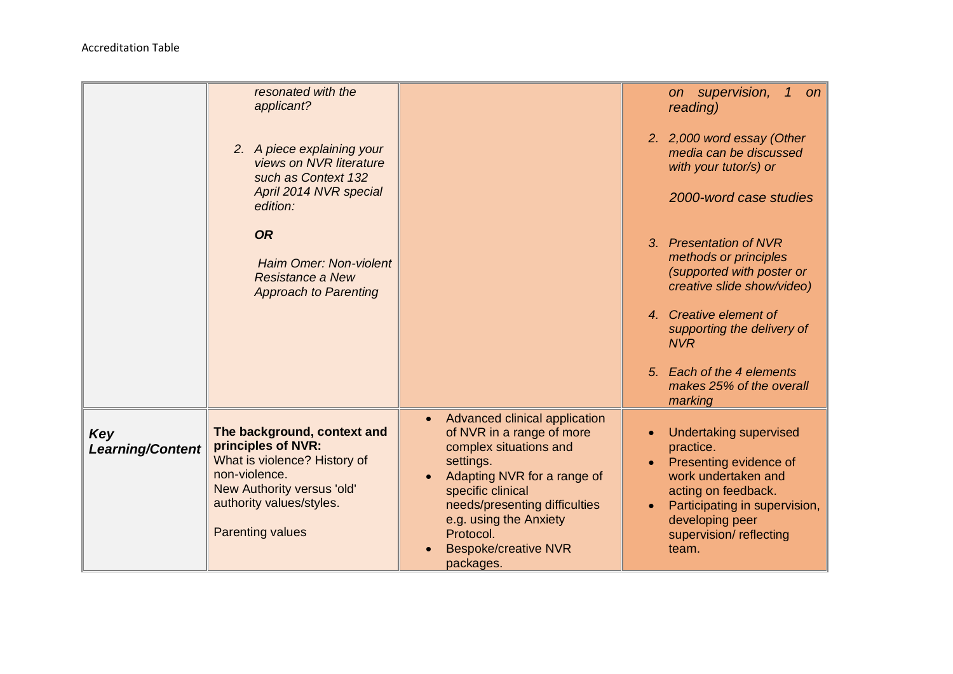|                                | resonated with the                                                                                                                                                                      |                                                                                                                                                                                                                                                                                                     | on supervision,<br>$\mathcal{I}$<br>on                                                                                                                                                                                                    |
|--------------------------------|-----------------------------------------------------------------------------------------------------------------------------------------------------------------------------------------|-----------------------------------------------------------------------------------------------------------------------------------------------------------------------------------------------------------------------------------------------------------------------------------------------------|-------------------------------------------------------------------------------------------------------------------------------------------------------------------------------------------------------------------------------------------|
|                                | applicant?                                                                                                                                                                              |                                                                                                                                                                                                                                                                                                     | reading)                                                                                                                                                                                                                                  |
|                                | 2. A piece explaining your<br>views on NVR literature<br>such as Context 132<br>April 2014 NVR special<br>edition:                                                                      |                                                                                                                                                                                                                                                                                                     | 2. 2,000 word essay (Other<br>media can be discussed<br>with your tutor/s) or<br>2000-word case studies                                                                                                                                   |
|                                | <b>OR</b><br>Haim Omer: Non-violent<br>Resistance a New<br><b>Approach to Parenting</b>                                                                                                 |                                                                                                                                                                                                                                                                                                     | 3. Presentation of NVR<br>methods or principles<br>(supported with poster or<br>creative slide show/video)<br>4. Creative element of<br>supporting the delivery of<br><b>NVR</b><br>5. Each of the 4 elements<br>makes 25% of the overall |
|                                |                                                                                                                                                                                         |                                                                                                                                                                                                                                                                                                     | marking                                                                                                                                                                                                                                   |
| Key<br><b>Learning/Content</b> | The background, context and<br>principles of NVR:<br>What is violence? History of<br>non-violence.<br>New Authority versus 'old'<br>authority values/styles.<br><b>Parenting values</b> | Advanced clinical application<br>$\bullet$<br>of NVR in a range of more<br>complex situations and<br>settings.<br>Adapting NVR for a range of<br>$\bullet$<br>specific clinical<br>needs/presenting difficulties<br>e.g. using the Anxiety<br>Protocol.<br><b>Bespoke/creative NVR</b><br>packages. | <b>Undertaking supervised</b><br>practice.<br>Presenting evidence of<br>work undertaken and<br>acting on feedback.<br>Participating in supervision,<br>developing peer<br>supervision/reflecting<br>team.                                 |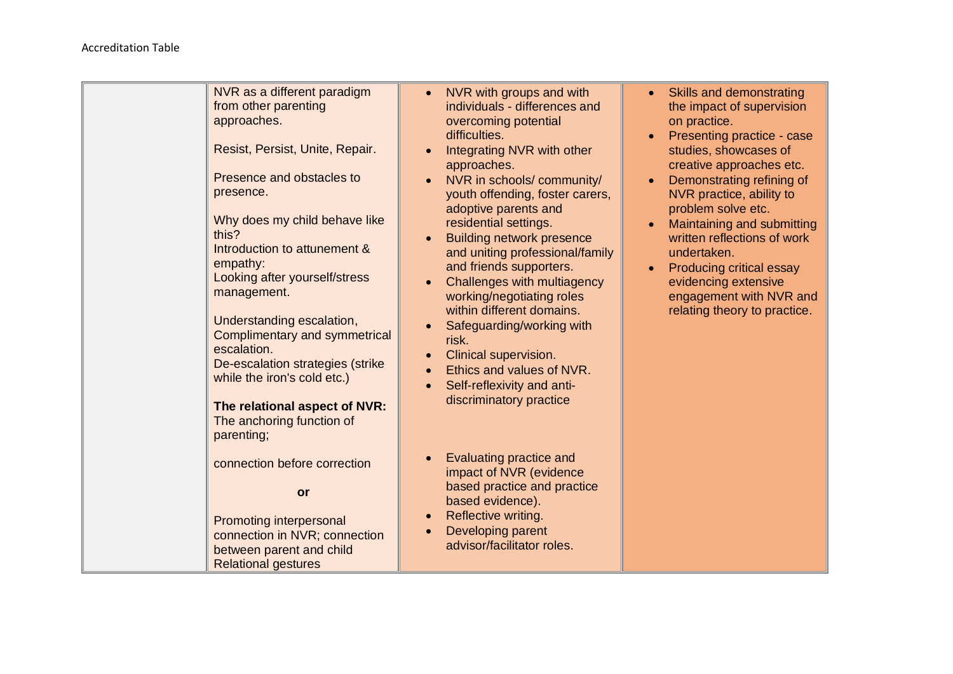| NVR as a different paradigm<br>from other parenting<br>approaches.<br>Resist, Persist, Unite, Repair.<br>Presence and obstacles to<br>presence.<br>Why does my child behave like<br>this?<br>Introduction to attunement &<br>empathy:<br>Looking after yourself/stress<br>management.<br>Understanding escalation,<br>Complimentary and symmetrical<br>escalation.<br>De-escalation strategies (strike<br>while the iron's cold etc.)<br>The relational aspect of NVR:<br>The anchoring function of | NVR with groups and with<br>$\bullet$<br>individuals - differences and<br>overcoming potential<br>difficulties.<br>Integrating NVR with other<br>$\bullet$<br>approaches.<br>NVR in schools/community/<br>$\bullet$<br>youth offending, foster carers,<br>adoptive parents and<br>residential settings.<br><b>Building network presence</b><br>and uniting professional/family<br>and friends supporters.<br><b>Challenges with multiagency</b><br>working/negotiating roles<br>within different domains.<br>Safeguarding/working with<br>$\bullet$<br>risk.<br>Clinical supervision.<br>$\bullet$<br>Ethics and values of NVR.<br>$\bullet$<br>Self-reflexivity and anti-<br>$\bullet$<br>discriminatory practice | • Skills and demonstrating<br>the impact of supervision<br>on practice.<br>Presenting practice - case<br>studies, showcases of<br>creative approaches etc.<br>Demonstrating refining of<br>NVR practice, ability to<br>problem solve etc.<br>Maintaining and submitting<br>written reflections of work<br>undertaken.<br><b>Producing critical essay</b><br>$\bullet$<br>evidencing extensive<br>engagement with NVR and<br>relating theory to practice. |
|-----------------------------------------------------------------------------------------------------------------------------------------------------------------------------------------------------------------------------------------------------------------------------------------------------------------------------------------------------------------------------------------------------------------------------------------------------------------------------------------------------|--------------------------------------------------------------------------------------------------------------------------------------------------------------------------------------------------------------------------------------------------------------------------------------------------------------------------------------------------------------------------------------------------------------------------------------------------------------------------------------------------------------------------------------------------------------------------------------------------------------------------------------------------------------------------------------------------------------------|----------------------------------------------------------------------------------------------------------------------------------------------------------------------------------------------------------------------------------------------------------------------------------------------------------------------------------------------------------------------------------------------------------------------------------------------------------|
| parenting;<br>connection before correction<br>or<br>Promoting interpersonal<br>connection in NVR; connection<br>between parent and child<br><b>Relational gestures</b>                                                                                                                                                                                                                                                                                                                              | Evaluating practice and<br>$\bullet$<br>impact of NVR (evidence<br>based practice and practice<br>based evidence).<br>Reflective writing.<br>$\bullet$<br>Developing parent<br>$\bullet$<br>advisor/facilitator roles.                                                                                                                                                                                                                                                                                                                                                                                                                                                                                             |                                                                                                                                                                                                                                                                                                                                                                                                                                                          |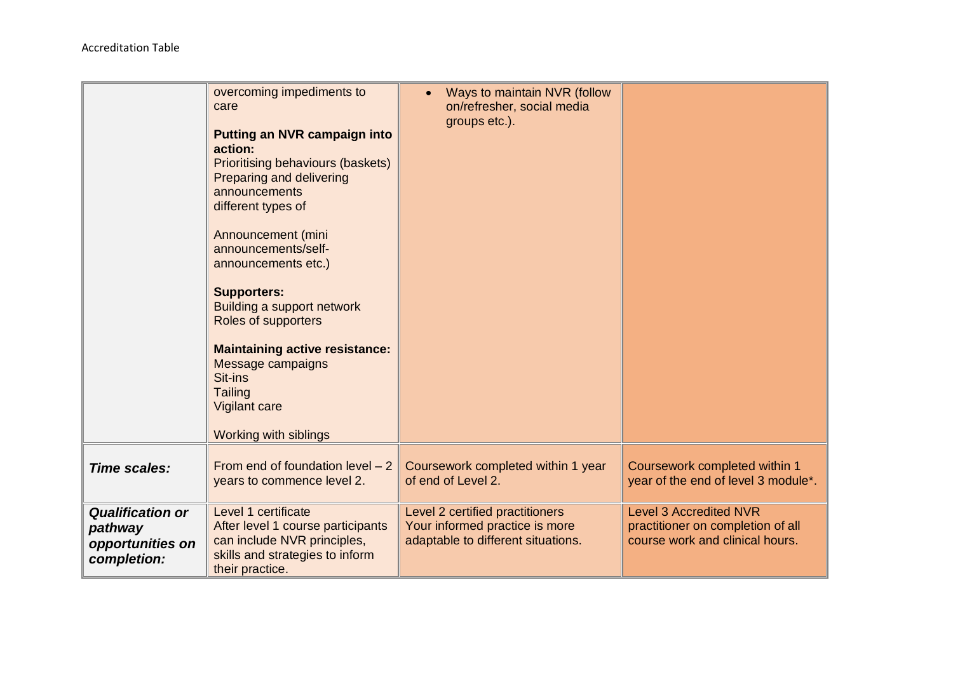|                                                                       | overcoming impediments to<br>care<br><b>Putting an NVR campaign into</b><br>action:<br><b>Prioritising behaviours (baskets)</b><br>Preparing and delivering<br>announcements<br>different types of<br>Announcement (mini<br>announcements/self-<br>announcements etc.)<br><b>Supporters:</b><br>Building a support network<br>Roles of supporters<br><b>Maintaining active resistance:</b><br>Message campaigns<br>Sit-ins<br><b>Tailing</b><br>Vigilant care<br>Working with siblings | Ways to maintain NVR (follow<br>on/refresher, social media<br>groups etc.).                             |                                                                                                       |
|-----------------------------------------------------------------------|----------------------------------------------------------------------------------------------------------------------------------------------------------------------------------------------------------------------------------------------------------------------------------------------------------------------------------------------------------------------------------------------------------------------------------------------------------------------------------------|---------------------------------------------------------------------------------------------------------|-------------------------------------------------------------------------------------------------------|
| Time scales:                                                          | From end of foundation level $-2$<br>years to commence level 2.                                                                                                                                                                                                                                                                                                                                                                                                                        | Coursework completed within 1 year<br>of end of Level 2.                                                | Coursework completed within 1<br>year of the end of level 3 module*.                                  |
| <b>Qualification or</b><br>pathway<br>opportunities on<br>completion: | Level 1 certificate<br>After level 1 course participants<br>can include NVR principles,<br>skills and strategies to inform<br>their practice.                                                                                                                                                                                                                                                                                                                                          | Level 2 certified practitioners<br>Your informed practice is more<br>adaptable to different situations. | <b>Level 3 Accredited NVR</b><br>practitioner on completion of all<br>course work and clinical hours. |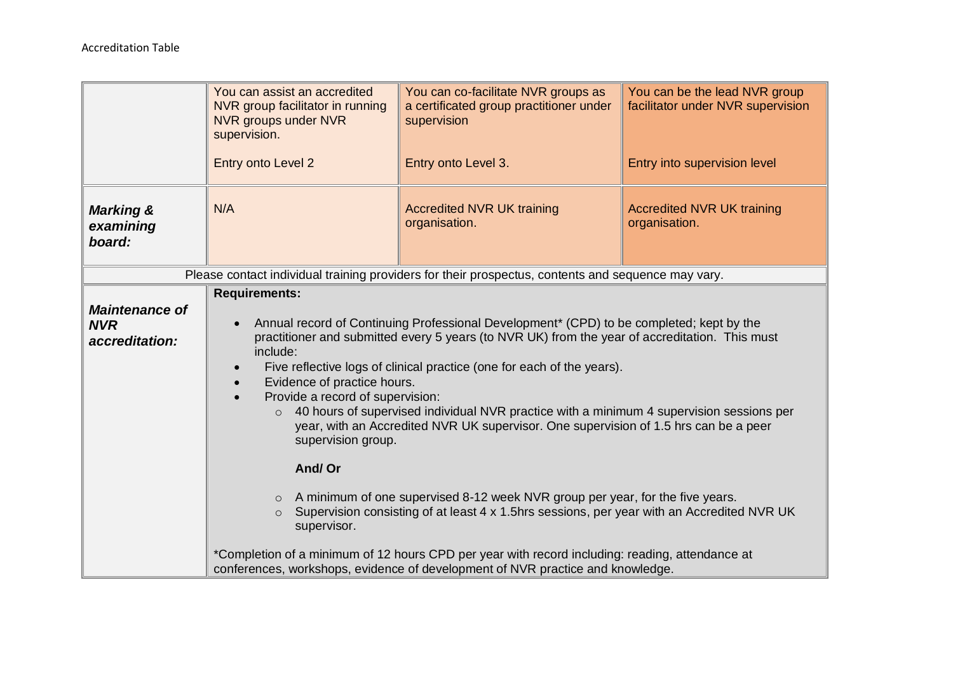|                                                       | You can assist an accredited<br>NVR group facilitator in running<br>NVR groups under NVR<br>supervision.<br>Entry onto Level 2                                                                                                                                                                                                                                                                                                                                                                                                                                                                                                   | You can co-facilitate NVR groups as<br>a certificated group practitioner under<br>supervision<br>Entry onto Level 3. | You can be the lead NVR group<br>facilitator under NVR supervision<br>Entry into supervision level |
|-------------------------------------------------------|----------------------------------------------------------------------------------------------------------------------------------------------------------------------------------------------------------------------------------------------------------------------------------------------------------------------------------------------------------------------------------------------------------------------------------------------------------------------------------------------------------------------------------------------------------------------------------------------------------------------------------|----------------------------------------------------------------------------------------------------------------------|----------------------------------------------------------------------------------------------------|
| <b>Marking &amp;</b><br>examining<br>board:           | N/A                                                                                                                                                                                                                                                                                                                                                                                                                                                                                                                                                                                                                              | <b>Accredited NVR UK training</b><br>organisation.                                                                   | <b>Accredited NVR UK training</b><br>organisation.                                                 |
|                                                       |                                                                                                                                                                                                                                                                                                                                                                                                                                                                                                                                                                                                                                  | Please contact individual training providers for their prospectus, contents and sequence may vary.                   |                                                                                                    |
| <b>Maintenance of</b><br><b>NVR</b><br>accreditation: | <b>Requirements:</b><br>Annual record of Continuing Professional Development <sup>*</sup> (CPD) to be completed; kept by the<br>$\bullet$<br>practitioner and submitted every 5 years (to NVR UK) from the year of accreditation. This must<br>include:<br>Five reflective logs of clinical practice (one for each of the years).<br>Evidence of practice hours.<br>Provide a record of supervision:<br>$\circ$ 40 hours of supervised individual NVR practice with a minimum 4 supervision sessions per<br>year, with an Accredited NVR UK supervisor. One supervision of 1.5 hrs can be a peer<br>supervision group.<br>And/Or |                                                                                                                      |                                                                                                    |
|                                                       | A minimum of one supervised 8-12 week NVR group per year, for the five years.<br>$\circ$<br>Supervision consisting of at least 4 x 1.5hrs sessions, per year with an Accredited NVR UK<br>$\circ$<br>supervisor.                                                                                                                                                                                                                                                                                                                                                                                                                 |                                                                                                                      |                                                                                                    |
|                                                       | *Completion of a minimum of 12 hours CPD per year with record including: reading, attendance at<br>conferences, workshops, evidence of development of NVR practice and knowledge.                                                                                                                                                                                                                                                                                                                                                                                                                                                |                                                                                                                      |                                                                                                    |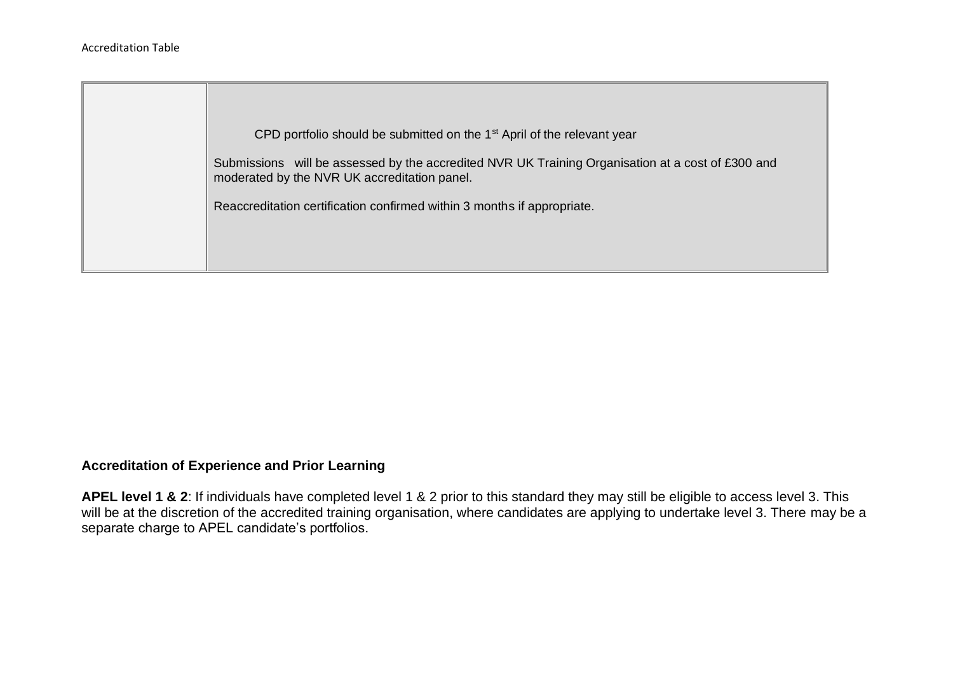

## **Accreditation of Experience and Prior Learning**

**APEL level 1 & 2**: If individuals have completed level 1 & 2 prior to this standard they may still be eligible to access level 3. This will be at the discretion of the accredited training organisation, where candidates are applying to undertake level 3. There may be a separate charge to APEL candidate's portfolios.